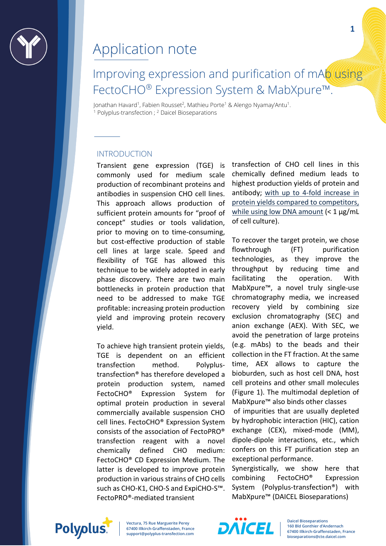

# Improving expression and purification of mAb using FectoCHO® Expression System & MabXpure™.

Jonathan Havard1, Fabien Rousset2, Mathieu Porte1 & Alengo Nyamay'Antu1. <sup>1</sup> Polyplus-transfection ; <sup>2</sup> Daicel Bioseparations

#### INTRODUCTION

Transient gene expression (TGE) is commonly used for medium scale production of recombinant proteins and antibodies in suspension CHO cell lines. This approach allows production of sufficient protein amounts for "proof of concept" studies or tools validation, prior to moving on to time-consuming, but cost-effective production of stable cell lines at large scale. Speed and flexibility of TGE has allowed this technique to be widely adopted in early phase discovery. There are two main bottlenecks in protein production that need to be addressed to make TGE profitable: increasing protein production yield and improving protein recovery yield.

To achieve high transient protein yields, TGE is dependent on an efficient transfection method. Polyplustransfection® has therefore developed a protein production system, named FectoCHO® Expression System for optimal protein production in several commercially available suspension CHO cell lines. FectoCHO® Expression System consists of the association of FectoPRO® transfection reagent with a novel chemically defined CHO medium: FectoCHO® CD Expression Medium. The latter is developed to improve protein production in various strains of CHO cells such as CHO-K1, CHO-S and ExpiCHO-S™. FectoPRO®-mediated transient

transfection of CHO cell lines in this chemically defined medium leads to highest production yields of protein and antibody; [with up to 4-fold increase in](https://www.polyplus-transfection.com/products/fectocho/)  [protein yields compared to competitors,](https://www.polyplus-transfection.com/products/fectocho/)  [while using low DNA amount](https://www.polyplus-transfection.com/products/fectocho/) (< 1 μg/mL of cell culture).

To recover the target protein, we chose flowthrough (FT) purification technologies, as they improve the throughput by reducing time and facilitating the operation. With MabXpure™, a novel truly single-use chromatography media, we increased recovery yield by combining size exclusion chromatography (SEC) and anion exchange (AEX). With SEC, we avoid the penetration of large proteins (e.g. mAbs) to the beads and their collection in the FT fraction. At the same time, AEX allows to capture the bioburden, such as host cell DNA, host cell proteins and other small molecules (Figure 1). The multimodal depletion of MabXpure™ also binds other classes

of impurities that are usually depleted by hydrophobic interaction (HIC), cation exchange (CEX), mixed-mode (MM), dipole-dipole interactions, etc., which confers on this FT purification step an exceptional performance.

Synergistically, we show here that combining FectoCHO® Expression System (Polyplus-transfection®) with MabXpure™ (DAICEL Bioseparations)

Polyplus.

**Vectura, 75 Rue Marguerite Perey 67400 Illkirch-Graffenstaden, France support@polyplus-transfection.com**

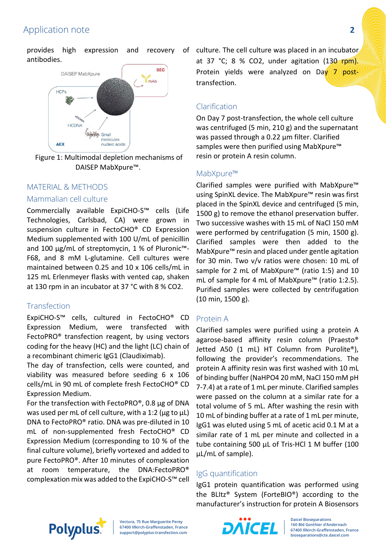provides high expression and recovery antibodies.



Figure 1: Multimodal depletion mechanisms of DAISEP MabXpure™.

### MATERIAL & METHODS

#### Mammalian cell culture

Commercially available ExpiCHO-S™ cells (Life Technologies, Carlsbad, CA) were grown in suspension culture in FectoCHO® CD Expression Medium supplemented with 100 U/mL of penicillin and 100 μg/mL of streptomycin, 1 % of Pluronic™- F68, and 8 mM L-glutamine. Cell cultures were maintained between 0.25 and 10 x 106 cells/mL in 125 mL Erlenmeyer flasks with vented cap, shaken at 130 rpm in an incubator at 37 °C with 8 % CO2.

### **Transfection**

ExpiCHO-S™ cells, cultured in FectoCHO® CD Expression Medium, were transfected with FectoPRO® transfection reagent, by using vectors coding for the heavy (HC) and the light (LC) chain of a recombinant chimeric IgG1 (Claudiximab).

The day of transfection, cells were counted, and viability was measured before seeding 6 x 106 cells/mL in 90 mL of complete fresh FectoCHO® CD Expression Medium.

For the transfection with FectoPRO®, 0.8 μg of DNA was used per mL of cell culture, with a 1:2 (μg to μL) DNA to FectoPRO® ratio. DNA was pre-diluted in 10 mL of non-supplemented fresh FectoCHO® CD Expression Medium (corresponding to 10 % of the final culture volume), briefly vortexed and added to pure FectoPRO®. After 10 minutes of complexation at room temperature, the DNA:FectoPRO® complexation mix was added to the ExpiCHO-S™ cell

of culture. The cell culture was placed in an incubator at 37 °C; 8 % CO2, under agitation  $(130 \text{ rpm})$ . Protein yields were analyzed on Day 7 posttransfection.

### Clarification

On Day 7 post-transfection, the whole cell culture was centrifuged (5 min, 210 g) and the supernatant was passed through a 0.22 μm filter. Clarified samples were then purified using MabXpure<sup>™</sup> resin or protein A resin column.

### MabXpure™

Clarified samples were purified with MabXpure™ using SpinXL device. The MabXpure™ resin was first placed in the SpinXL device and centrifuged (5 min, 1500 g) to remove the ethanol preservation buffer. Two successive washes with 15 mL of NaCl 150 mM were performed by centrifugation (5 min, 1500 g). Clarified samples were then added to the MabXpure™ resin and placed under gentle agitation for 30 min. Two v/v ratios were chosen: 10 mL of sample for 2 mL of MabXpure™ (ratio 1:5) and 10 mL of sample for 4 mL of MabXpure™ (ratio 1:2.5). Purified samples were collected by centrifugation (10 min, 1500 g).

### Protein A

Clarified samples were purified using a protein A agarose-based affinity resin column (Praesto® Jetted A50 (1 mL) HT Column from Purolite®), following the provider's recommendations. The protein A affinity resin was first washed with 10 mL of binding buffer (NaHPO4 20 mM, NaCl 150 mM pH 7-7.4) at a rate of 1 mL per minute. Clarified samples were passed on the column at a similar rate for a total volume of 5 mL. After washing the resin with 10 mL of binding buffer at a rate of 1 mL per minute, IgG1 was eluted using 5 mL of acetic acid 0.1 M at a similar rate of 1 mL per minute and collected in a tube containing 500 μL of Tris-HCl 1 M buffer (100 μL/mL of sample).

### IgG quantification

IgG1 protein quantification was performed using the BLItz® System (ForteBIO®) according to the manufacturer's instruction for protein A Biosensors



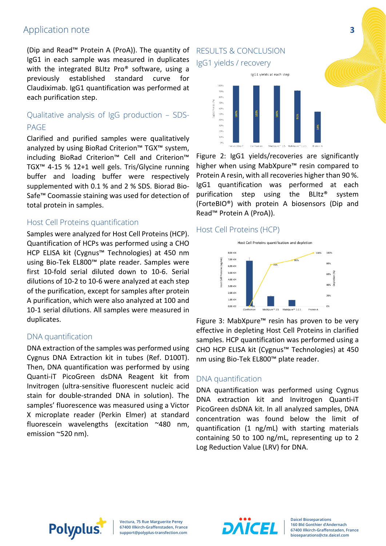(Dip and Read™ Protein A (ProA)). The quantity of IgG1 in each sample was measured in duplicates with the integrated BLItz Pro<sup>®</sup> software, using a previously established standard curve for Claudiximab. IgG1 quantification was performed at each purification step.

### Qualitative analysis of IgG production – SDS-PAGE

Clarified and purified samples were qualitatively analyzed by using BioRad Criterion™ TGX™ system, including BioRad Criterion™ Cell and Criterion™ TGX™ 4-15 % 12+1 well gels. Tris/Glycine running buffer and loading buffer were respectively supplemented with 0.1 % and 2 % SDS. Biorad Bio-Safe™ Coomassie staining was used for detection of total protein in samples.

### Host Cell Proteins quantification

Samples were analyzed for Host Cell Proteins (HCP). Quantification of HCPs was performed using a CHO HCP ELISA kit (Cygnus™ Technologies) at 450 nm using Bio-Tek EL800™ plate reader. Samples were first 10-fold serial diluted down to 10-6. Serial dilutions of 10-2 to 10-6 were analyzed at each step of the purification, except for samples after protein A purification, which were also analyzed at 100 and 10-1 serial dilutions. All samples were measured in duplicates.

### DNA quantification

DNA extraction of the samples was performed using Cygnus DNA Extraction kit in tubes (Ref. D100T). Then, DNA quantification was performed by using Quanti-iT PicoGreen dsDNA Reagent kit from Invitrogen (ultra-sensitive fluorescent nucleic acid stain for double-stranded DNA in solution). The samples' fluorescence was measured using a Victor X microplate reader (Perkin Elmer) at standard fluorescein wavelengths (excitation ~480 nm, emission ~520 nm).

### RESULTS & CONCLUSION IgG1 yields / recovery



Figure 2: IgG1 yields/recoveries are significantly higher when using MabXpure™ resin compared to Protein A resin, with all recoveries higher than 90 %. IgG1 quantification was performed at each purification step using the BLItz® system (ForteBIO®) with protein A biosensors (Dip and Read™ Protein A (ProA)).

### Host Cell Proteins (HCP)



Figure 3: MabXpure™ resin has proven to be very effective in depleting Host Cell Proteins in clarified samples. HCP quantification was performed using a CHO HCP ELISA kit (Cygnus™ Technologies) at 450 nm using Bio-Tek EL800™ plate reader.

### DNA quantification

DNA quantification was performed using Cygnus DNA extraction kit and Invitrogen Quanti-iT PicoGreen dsDNA kit. In all analyzed samples, DNA concentration was found below the limit of quantification (1 ng/mL) with starting materials containing 50 to 100 ng/mL, representing up to 2 Log Reduction Value (LRV) for DNA.



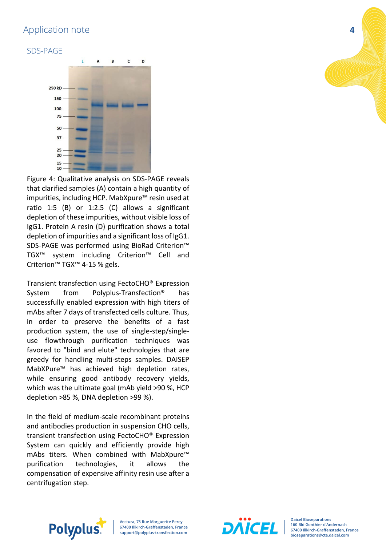### SDS-PAGE



Figure 4: Qualitative analysis on SDS-PAGE reveals that clarified samples (A) contain a high quantity of impurities, including HCP. MabXpure™ resin used at ratio 1:5 (B) or 1:2.5 (C) allows a significant depletion of these impurities, without visible loss of IgG1. Protein A resin (D) purification shows a total depletion of impurities and a significant loss of IgG1. SDS-PAGE was performed using BioRad Criterion™ TGX™ system including Criterion™ Cell and Criterion™ TGX™ 4-15 % gels.

Transient transfection using FectoCHO® Expression System from Polyplus-Transfection® has successfully enabled expression with high titers of mAbs after 7 days of transfected cells culture. Thus, in order to preserve the benefits of a fast production system, the use of single-step/singleuse flowthrough purification techniques was favored to "bind and elute" technologies that are greedy for handling multi-steps samples. DAISEP MabXPure™ has achieved high depletion rates, while ensuring good antibody recovery yields, which was the ultimate goal (mAb yield >90 %, HCP depletion >85 %, DNA depletion >99 %).

In the field of medium-scale recombinant proteins and antibodies production in suspension CHO cells, transient transfection using FectoCHO® Expression System can quickly and efficiently provide high mAbs titers. When combined with MabXpure™ purification technologies, it allows the compensation of expensive affinity resin use after a centrifugation step.





**Daicel Bioseparations 160 Bld Gonthier d'Andernach 67400 Illkirch-Graffenstaden, France bioseparations@cte.daicel.com**